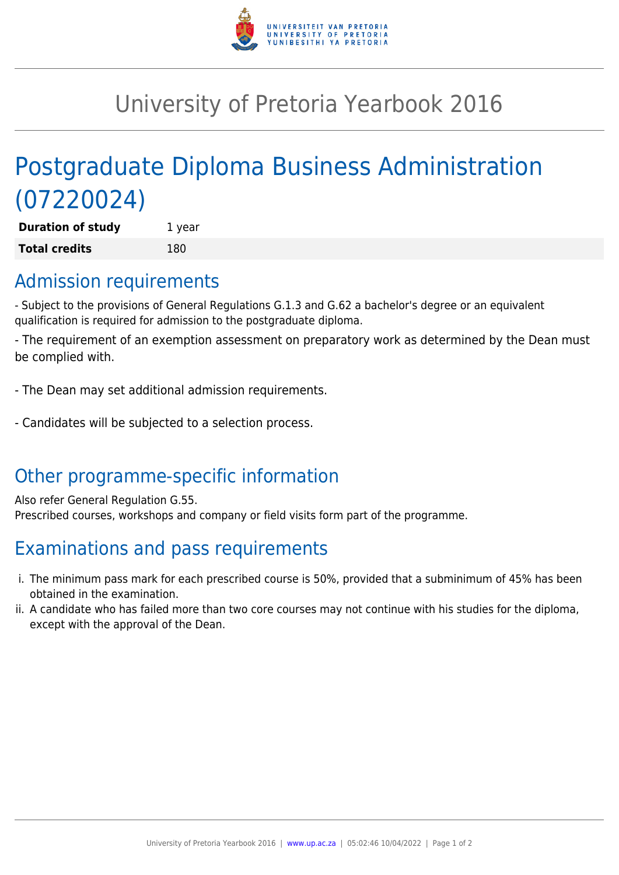

# University of Pretoria Yearbook 2016

# Postgraduate Diploma Business Administration (07220024)

**Duration of study** 1 year **Total credits** 180

### Admission requirements

- Subject to the provisions of General Regulations G.1.3 and G.62 a bachelor's degree or an equivalent qualification is required for admission to the postgraduate diploma.

- The requirement of an exemption assessment on preparatory work as determined by the Dean must be complied with.

- The Dean may set additional admission requirements.

- Candidates will be subjected to a selection process.

## Other programme-specific information

Also refer General Regulation G.55. Prescribed courses, workshops and company or field visits form part of the programme.

## Examinations and pass requirements

- i. The minimum pass mark for each prescribed course is 50%, provided that a subminimum of 45% has been obtained in the examination.
- ii. A candidate who has failed more than two core courses may not continue with his studies for the diploma, except with the approval of the Dean.